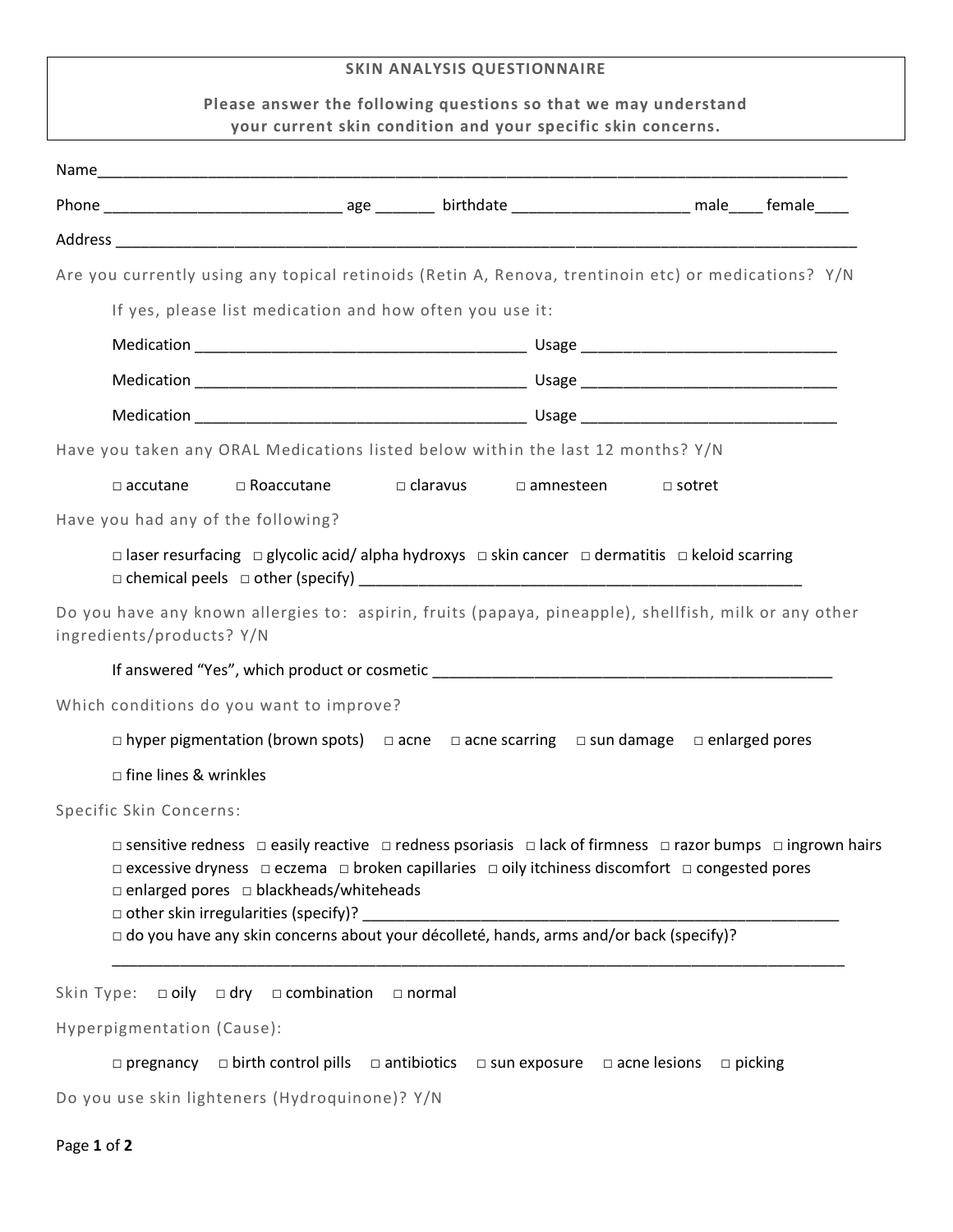# **SKIN ANALYSIS QUESTIONNAIRE**

# **Please answer the following questions so that we may understand your current skin condition and your specific skin concerns.**

| Are you currently using any topical retinoids (Retin A, Renova, trentinoin etc) or medications? Y/N                                                                                                                                                                                                                                                                                                                                           |                            |               |                                                    |                     |                |
|-----------------------------------------------------------------------------------------------------------------------------------------------------------------------------------------------------------------------------------------------------------------------------------------------------------------------------------------------------------------------------------------------------------------------------------------------|----------------------------|---------------|----------------------------------------------------|---------------------|----------------|
| If yes, please list medication and how often you use it:                                                                                                                                                                                                                                                                                                                                                                                      |                            |               |                                                    |                     |                |
|                                                                                                                                                                                                                                                                                                                                                                                                                                               |                            |               |                                                    |                     |                |
|                                                                                                                                                                                                                                                                                                                                                                                                                                               |                            |               |                                                    |                     |                |
|                                                                                                                                                                                                                                                                                                                                                                                                                                               |                            |               |                                                    |                     |                |
| Have you taken any ORAL Medications listed below within the last 12 months? Y/N                                                                                                                                                                                                                                                                                                                                                               |                            |               |                                                    |                     |                |
| $\Box$ accutane                                                                                                                                                                                                                                                                                                                                                                                                                               |                            |               | $\Box$ Roaccutane $\Box$ claravus $\Box$ amnesteen | $\Box$ sotret       |                |
| Have you had any of the following?                                                                                                                                                                                                                                                                                                                                                                                                            |                            |               |                                                    |                     |                |
| $\Box$ laser resurfacing $\Box$ glycolic acid/ alpha hydroxys $\Box$ skin cancer $\Box$ dermatitis $\Box$ keloid scarring                                                                                                                                                                                                                                                                                                                     |                            |               |                                                    |                     |                |
| Do you have any known allergies to: aspirin, fruits (papaya, pineapple), shellfish, milk or any other<br>ingredients/products? Y/N                                                                                                                                                                                                                                                                                                            |                            |               |                                                    |                     |                |
|                                                                                                                                                                                                                                                                                                                                                                                                                                               |                            |               |                                                    |                     |                |
| Which conditions do you want to improve?                                                                                                                                                                                                                                                                                                                                                                                                      |                            |               |                                                    |                     |                |
| $\Box$ hyper pigmentation (brown spots) $\Box$ acne $\Box$ acne scarring $\Box$ sun damage $\Box$ enlarged pores                                                                                                                                                                                                                                                                                                                              |                            |               |                                                    |                     |                |
| $\Box$ fine lines & wrinkles                                                                                                                                                                                                                                                                                                                                                                                                                  |                            |               |                                                    |                     |                |
| Specific Skin Concerns:                                                                                                                                                                                                                                                                                                                                                                                                                       |                            |               |                                                    |                     |                |
| □ sensitive redness □ easily reactive □ redness psoriasis □ lack of firmness □ razor bumps □ ingrown hairs<br>$\Box$ excessive dryness $\Box$ eczema $\Box$ broken capillaries $\Box$ oily itchiness discomfort $\Box$ congested pores<br>$\square$ enlarged pores $\square$ blackheads/whiteheads<br>$\Box$ other skin irregularities (specify)?<br>□ do you have any skin concerns about your décolleté, hands, arms and/or back (specify)? |                            |               |                                                    |                     |                |
|                                                                                                                                                                                                                                                                                                                                                                                                                                               |                            |               |                                                    |                     |                |
| Skin Type: $\Box$ oily $\Box$ dry                                                                                                                                                                                                                                                                                                                                                                                                             | $\Box$ combination         | $\Box$ normal |                                                    |                     |                |
| Hyperpigmentation (Cause):                                                                                                                                                                                                                                                                                                                                                                                                                    |                            |               |                                                    |                     |                |
| $\square$ pregnancy                                                                                                                                                                                                                                                                                                                                                                                                                           | $\Box$ birth control pills | □ antibiotics | $\square$ sun exposure                             | $\Box$ acne lesions | $\Box$ picking |
| Do you use skin lighteners (Hydroquinone)? Y/N                                                                                                                                                                                                                                                                                                                                                                                                |                            |               |                                                    |                     |                |